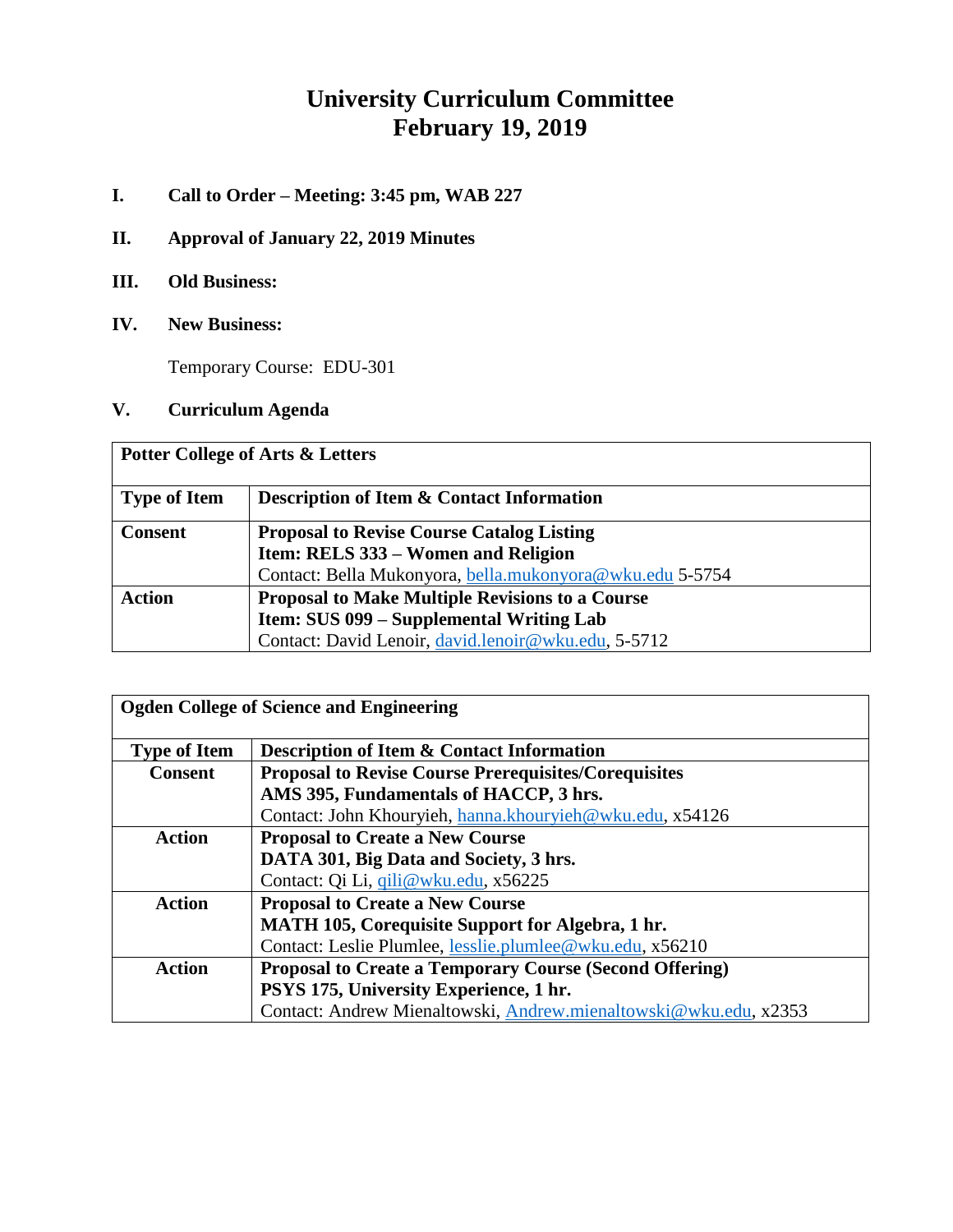# **University Curriculum Committee February 19, 2019**

- **I. Call to Order – Meeting: 3:45 pm, WAB 227**
- **II. Approval of January 22, 2019 Minutes**
- **III. Old Business:**
- **IV. New Business:**

Temporary Course: EDU-301

**V. Curriculum Agenda**

| <b>Potter College of Arts &amp; Letters</b> |                                                          |  |  |
|---------------------------------------------|----------------------------------------------------------|--|--|
| <b>Type of Item</b>                         | <b>Description of Item &amp; Contact Information</b>     |  |  |
| <b>Consent</b>                              | <b>Proposal to Revise Course Catalog Listing</b>         |  |  |
|                                             | Item: RELS 333 – Women and Religion                      |  |  |
|                                             | Contact: Bella Mukonyora, bella.mukonyora@wku.edu 5-5754 |  |  |
| <b>Action</b>                               | <b>Proposal to Make Multiple Revisions to a Course</b>   |  |  |
|                                             | Item: SUS 099 – Supplemental Writing Lab                 |  |  |
|                                             | Contact: David Lenoir, david.lenoir@wku.edu, 5-5712      |  |  |

| <b>Ogden College of Science and Engineering</b> |                                                                  |  |
|-------------------------------------------------|------------------------------------------------------------------|--|
| <b>Type of Item</b>                             | <b>Description of Item &amp; Contact Information</b>             |  |
| <b>Consent</b>                                  | <b>Proposal to Revise Course Prerequisites/Corequisites</b>      |  |
|                                                 | AMS 395, Fundamentals of HACCP, 3 hrs.                           |  |
|                                                 | Contact: John Khouryieh, hanna.khouryieh@wku.edu, x54126         |  |
| <b>Action</b>                                   | <b>Proposal to Create a New Course</b>                           |  |
|                                                 | DATA 301, Big Data and Society, 3 hrs.                           |  |
|                                                 | Contact: Qi Li, qili@wku.edu, x56225                             |  |
| <b>Action</b>                                   | <b>Proposal to Create a New Course</b>                           |  |
|                                                 | <b>MATH 105, Corequisite Support for Algebra, 1 hr.</b>          |  |
|                                                 | Contact: Leslie Plumlee, lesslie.plumlee@wku.edu, x56210         |  |
| <b>Action</b>                                   | <b>Proposal to Create a Temporary Course (Second Offering)</b>   |  |
|                                                 | PSYS 175, University Experience, 1 hr.                           |  |
|                                                 | Contact: Andrew Mienaltowski, Andrew.mienaltowski@wku.edu, x2353 |  |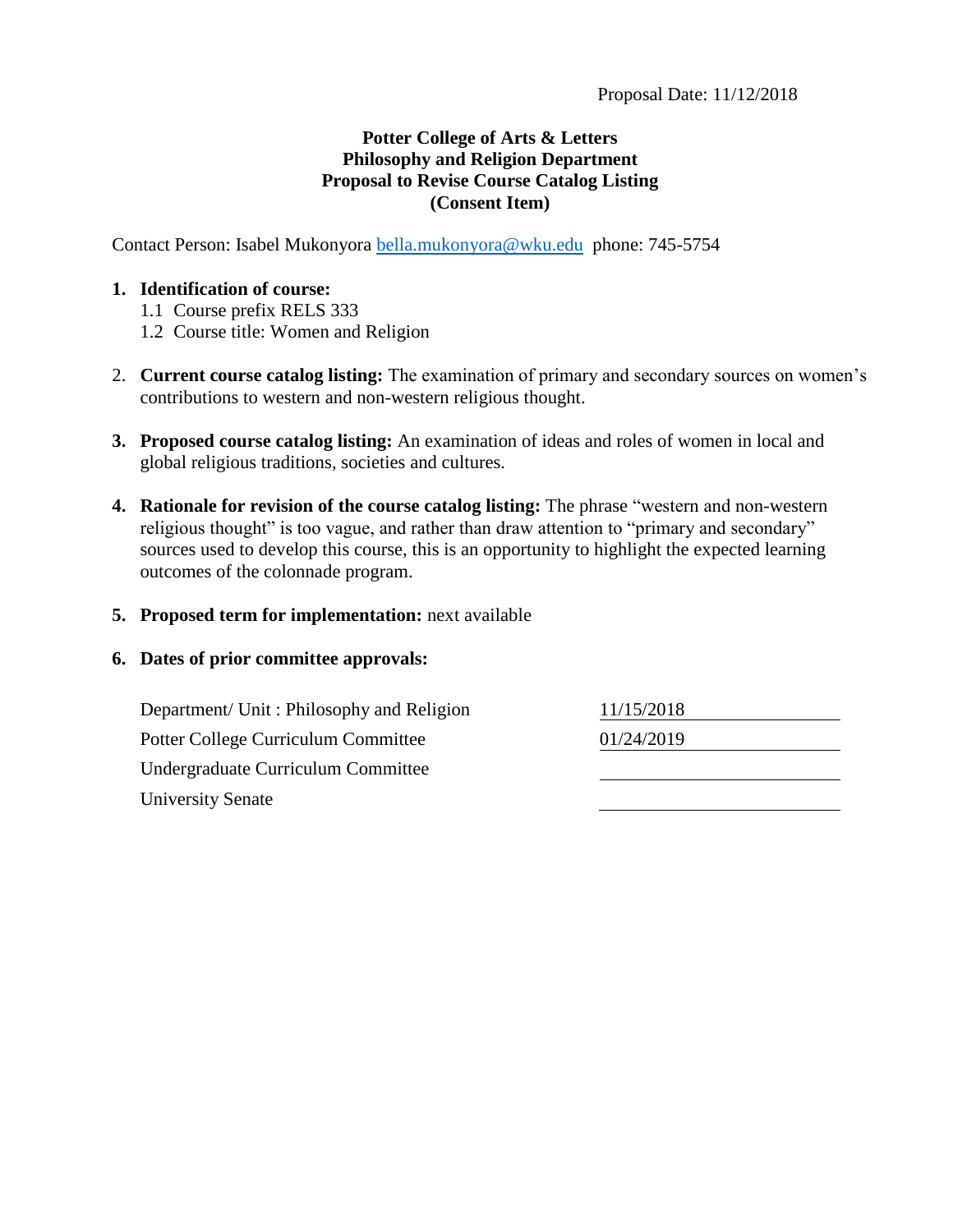## **Potter College of Arts & Letters Philosophy and Religion Department Proposal to Revise Course Catalog Listing (Consent Item)**

Contact Person: Isabel Mukonyora [bella.mukonyora@wku.edu](mailto:bella.mukonyora@wku.edu) phone: 745-5754

#### **1. Identification of course:**

- 1.1 Course prefix RELS 333
- 1.2 Course title: Women and Religion
- 2. **Current course catalog listing:** The examination of primary and secondary sources on women's contributions to western and non-western religious thought.
- **3. Proposed course catalog listing:** An examination of ideas and roles of women in local and global religious traditions, societies and cultures.
- **4. Rationale for revision of the course catalog listing:** The phrase "western and non-western religious thought" is too vague, and rather than draw attention to "primary and secondary" sources used to develop this course, this is an opportunity to highlight the expected learning outcomes of the colonnade program.
- **5. Proposed term for implementation:** next available

#### **6. Dates of prior committee approvals:**

| Department/ Unit: Philosophy and Religion | 11/15/2018 |
|-------------------------------------------|------------|
| Potter College Curriculum Committee       | 01/24/2019 |
| Undergraduate Curriculum Committee        |            |
| University Senate                         |            |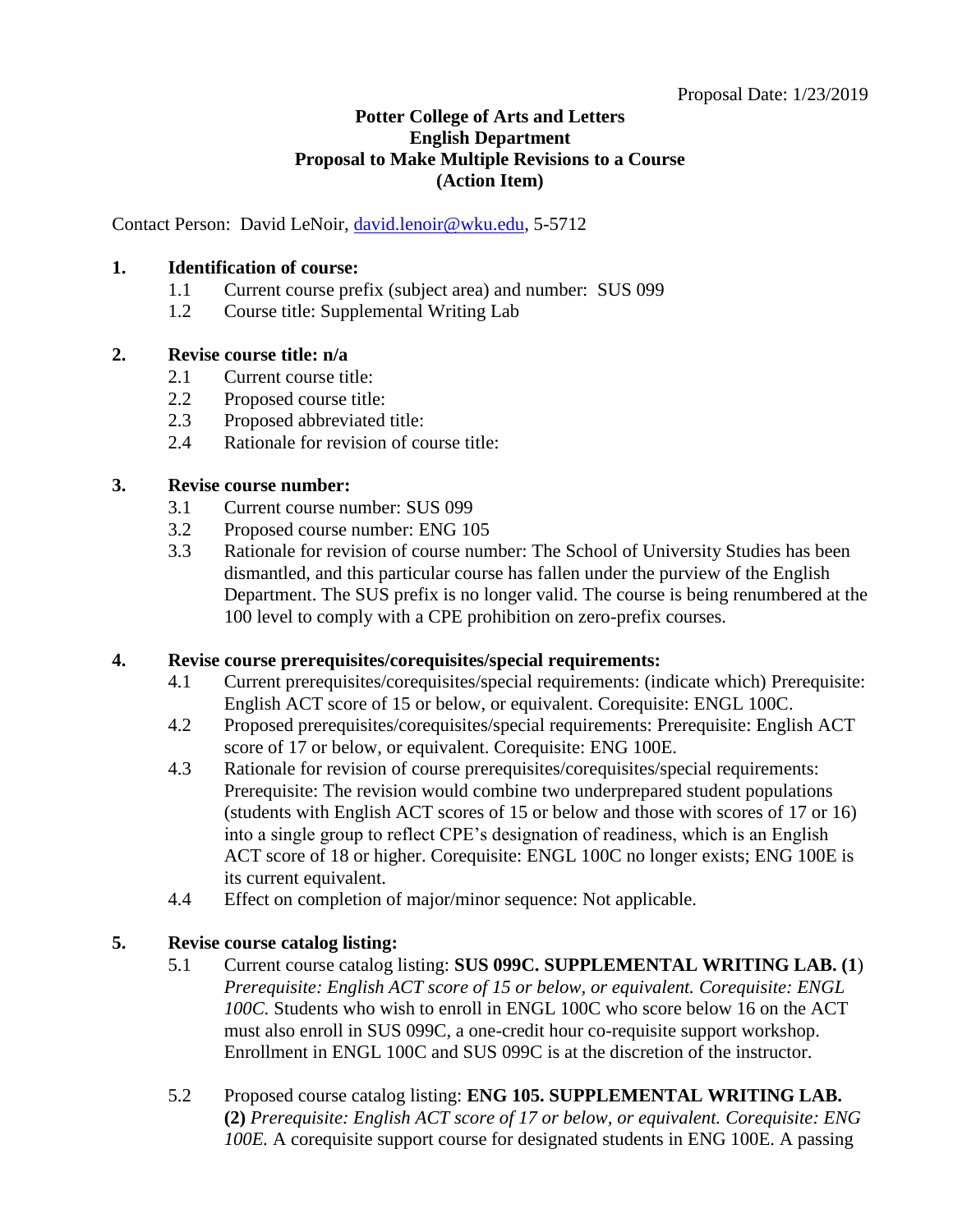## **Potter College of Arts and Letters English Department Proposal to Make Multiple Revisions to a Course (Action Item)**

Contact Person: David LeNoir, [david.lenoir@wku.edu,](mailto:david.lenoir@wku.edu) 5-5712

## **1. Identification of course:**

- 1.1 Current course prefix (subject area) and number: SUS 099
- 1.2 Course title: Supplemental Writing Lab

#### **2. Revise course title: n/a**

- 2.1 Current course title:
- 2.2 Proposed course title:
- 2.3 Proposed abbreviated title:
- 2.4 Rationale for revision of course title:

#### **3. Revise course number:**

- 3.1 Current course number: SUS 099
- 3.2 Proposed course number: ENG 105
- 3.3 Rationale for revision of course number: The School of University Studies has been dismantled, and this particular course has fallen under the purview of the English Department. The SUS prefix is no longer valid. The course is being renumbered at the 100 level to comply with a CPE prohibition on zero-prefix courses.

## **4. Revise course prerequisites/corequisites/special requirements:**

- 4.1 Current prerequisites/corequisites/special requirements: (indicate which) Prerequisite: English ACT score of 15 or below, or equivalent. Corequisite: ENGL 100C.
- 4.2 Proposed prerequisites/corequisites/special requirements: Prerequisite: English ACT score of 17 or below, or equivalent. Corequisite: ENG 100E.
- 4.3 Rationale for revision of course prerequisites/corequisites/special requirements: Prerequisite: The revision would combine two underprepared student populations (students with English ACT scores of 15 or below and those with scores of 17 or 16) into a single group to reflect CPE's designation of readiness, which is an English ACT score of 18 or higher. Corequisite: ENGL 100C no longer exists; ENG 100E is its current equivalent.
- 4.4 Effect on completion of major/minor sequence: Not applicable.

## **5. Revise course catalog listing:**

- 5.1 Current course catalog listing: **SUS 099C. SUPPLEMENTAL WRITING LAB. (1**) *Prerequisite: English ACT score of 15 or below, or equivalent. Corequisite: ENGL 100C.* Students who wish to enroll in ENGL 100C who score below 16 on the ACT must also enroll in SUS 099C, a one-credit hour co-requisite support workshop. Enrollment in ENGL 100C and SUS 099C is at the discretion of the instructor.
- 5.2 Proposed course catalog listing: **ENG 105. SUPPLEMENTAL WRITING LAB. (2)** *Prerequisite: English ACT score of 17 or below, or equivalent. Corequisite: ENG 100E.* A corequisite support course for designated students in ENG 100E. A passing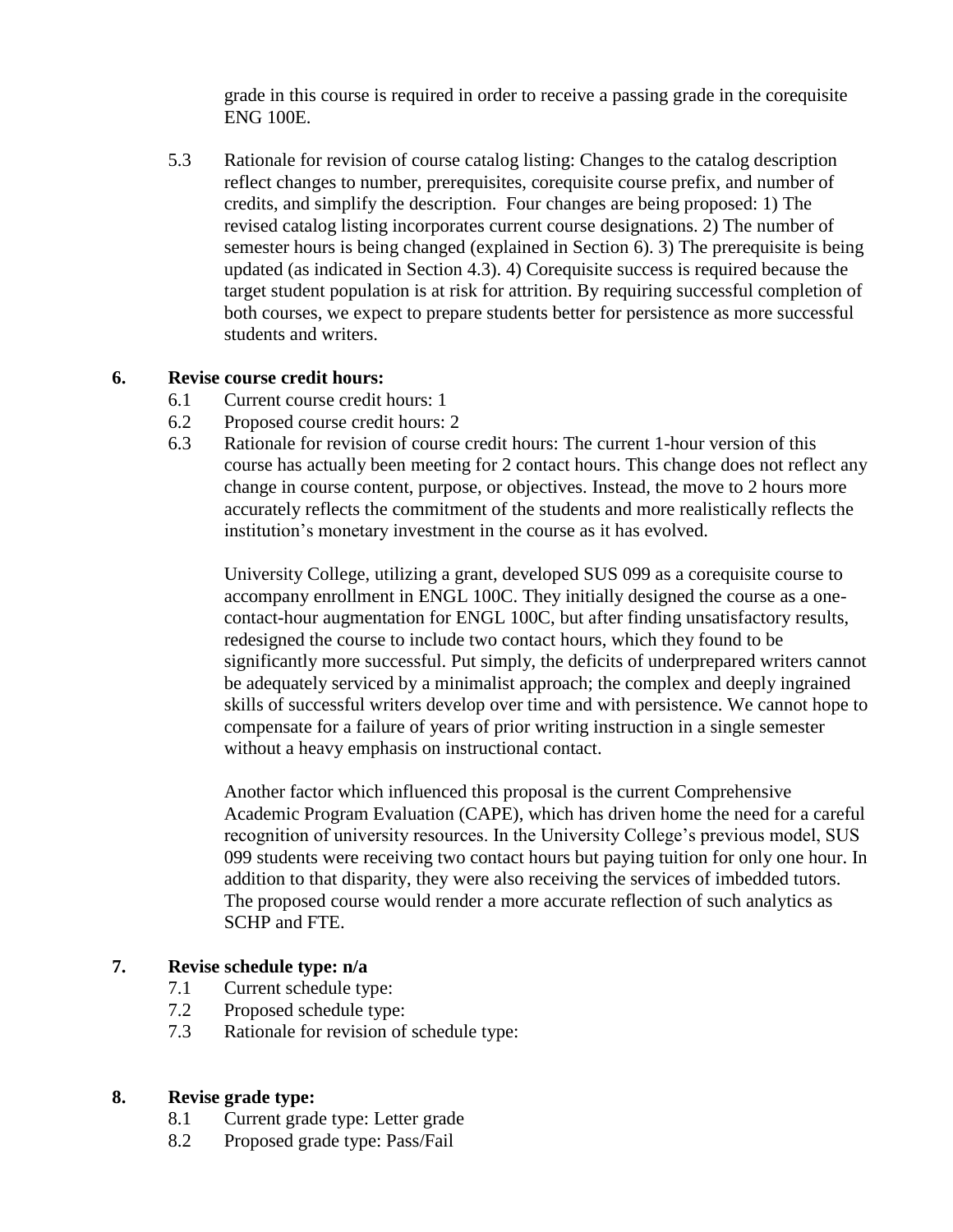grade in this course is required in order to receive a passing grade in the corequisite ENG 100E.

5.3 Rationale for revision of course catalog listing: Changes to the catalog description reflect changes to number, prerequisites, corequisite course prefix, and number of credits, and simplify the description. Four changes are being proposed: 1) The revised catalog listing incorporates current course designations. 2) The number of semester hours is being changed (explained in Section 6). 3) The prerequisite is being updated (as indicated in Section 4.3). 4) Corequisite success is required because the target student population is at risk for attrition. By requiring successful completion of both courses, we expect to prepare students better for persistence as more successful students and writers.

#### **6. Revise course credit hours:**

- 6.1 Current course credit hours: 1
- 6.2 Proposed course credit hours: 2
- 6.3 Rationale for revision of course credit hours: The current 1-hour version of this course has actually been meeting for 2 contact hours. This change does not reflect any change in course content, purpose, or objectives. Instead, the move to 2 hours more accurately reflects the commitment of the students and more realistically reflects the institution's monetary investment in the course as it has evolved.

University College, utilizing a grant, developed SUS 099 as a corequisite course to accompany enrollment in ENGL 100C. They initially designed the course as a onecontact-hour augmentation for ENGL 100C, but after finding unsatisfactory results, redesigned the course to include two contact hours, which they found to be significantly more successful. Put simply, the deficits of underprepared writers cannot be adequately serviced by a minimalist approach; the complex and deeply ingrained skills of successful writers develop over time and with persistence. We cannot hope to compensate for a failure of years of prior writing instruction in a single semester without a heavy emphasis on instructional contact.

Another factor which influenced this proposal is the current Comprehensive Academic Program Evaluation (CAPE), which has driven home the need for a careful recognition of university resources. In the University College's previous model, SUS 099 students were receiving two contact hours but paying tuition for only one hour. In addition to that disparity, they were also receiving the services of imbedded tutors. The proposed course would render a more accurate reflection of such analytics as SCHP and FTE.

#### **7. Revise schedule type: n/a**

- 7.1 Current schedule type:
- 7.2 Proposed schedule type:
- 7.3 Rationale for revision of schedule type:

#### **8. Revise grade type:**

- 8.1 Current grade type: Letter grade
- 8.2 Proposed grade type: Pass/Fail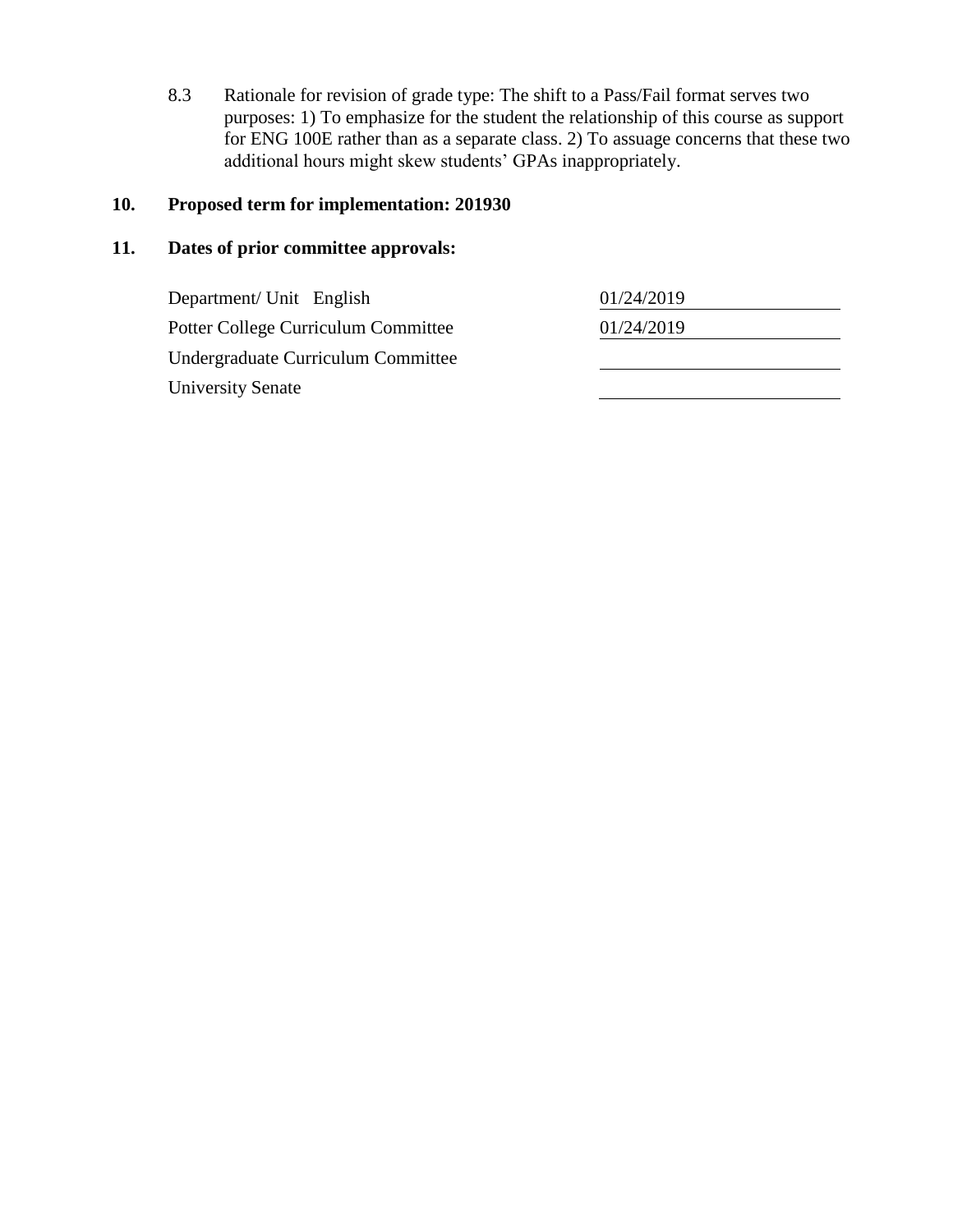8.3 Rationale for revision of grade type: The shift to a Pass/Fail format serves two purposes: 1) To emphasize for the student the relationship of this course as support for ENG 100E rather than as a separate class. 2) To assuage concerns that these two additional hours might skew students' GPAs inappropriately.

# **10. Proposed term for implementation: 201930**

## **11. Dates of prior committee approvals:**

| Department/ Unit English            | 01/24/2019 |
|-------------------------------------|------------|
| Potter College Curriculum Committee | 01/24/2019 |
| Undergraduate Curriculum Committee  |            |
| <b>University Senate</b>            |            |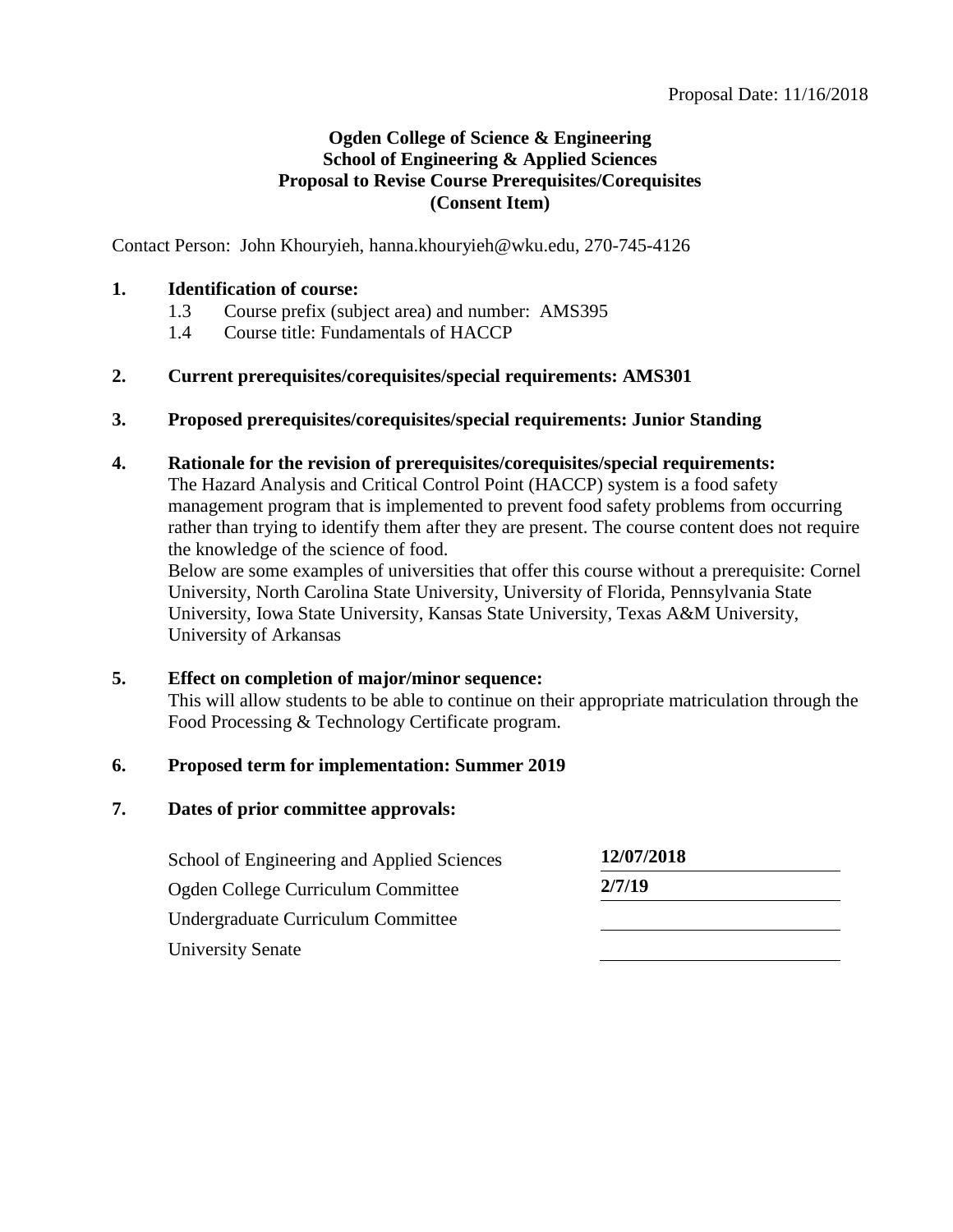#### **Ogden College of Science & Engineering School of Engineering & Applied Sciences Proposal to Revise Course Prerequisites/Corequisites (Consent Item)**

Contact Person: John Khouryieh, hanna.khouryieh@wku.edu, 270-745-4126

#### **1. Identification of course:**

- 1.3 Course prefix (subject area) and number: AMS395
- 1.4 Course title: Fundamentals of HACCP

#### **2. Current prerequisites/corequisites/special requirements: AMS301**

**3. Proposed prerequisites/corequisites/special requirements: Junior Standing** 

#### **4. Rationale for the revision of prerequisites/corequisites/special requirements:**

The Hazard Analysis and Critical Control Point (HACCP) system is a food safety management program that is implemented to prevent food safety problems from occurring rather than trying to identify them after they are present. The course content does not require the knowledge of the science of food.

Below are some examples of universities that offer this course without a prerequisite: Cornel University, North Carolina State University, University of Florida, Pennsylvania State University, Iowa State University, Kansas State University, Texas A&M University, University of Arkansas

#### **5. Effect on completion of major/minor sequence:**

This will allow students to be able to continue on their appropriate matriculation through the Food Processing & Technology Certificate program.

#### **6. Proposed term for implementation: Summer 2019**

#### **7. Dates of prior committee approvals:**

| School of Engineering and Applied Sciences | 12/07/2018 |  |
|--------------------------------------------|------------|--|
| Ogden College Curriculum Committee         | 2/7/19     |  |
| Undergraduate Curriculum Committee         |            |  |
| <b>University Senate</b>                   |            |  |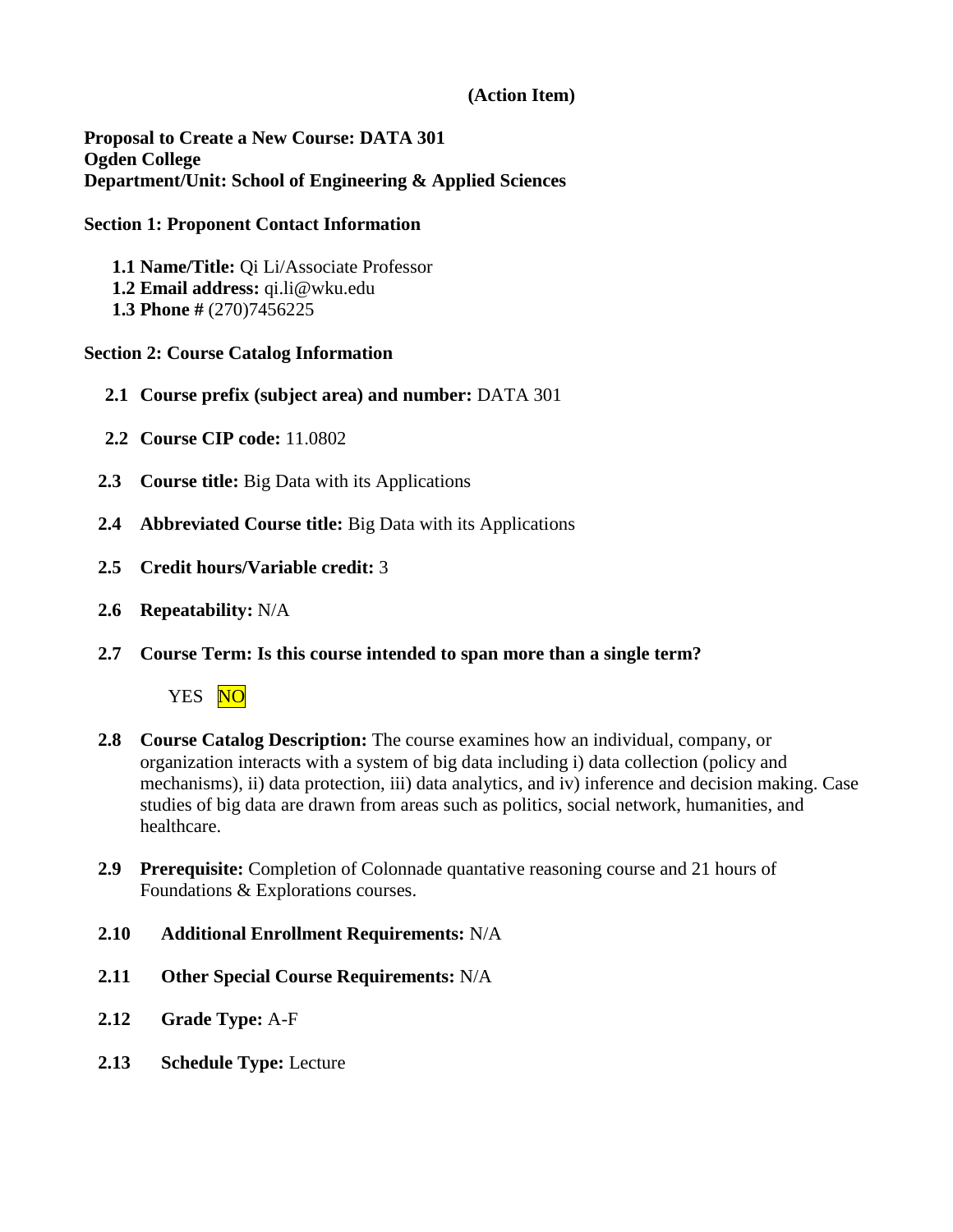## **(Action Item)**

**Proposal to Create a New Course: DATA 301 Ogden College Department/Unit: School of Engineering & Applied Sciences**

#### **Section 1: Proponent Contact Information**

**1.1 Name/Title:** Qi Li/Associate Professor **1.2 Email address:** qi.li@wku.edu **1.3 Phone #** (270)7456225

#### **Section 2: Course Catalog Information**

- **2.1 Course prefix (subject area) and number:** DATA 301
- **2.2 Course CIP code:** 11.0802
- **2.3 Course title:** Big Data with its Applications
- **2.4 Abbreviated Course title:** Big Data with its Applications
- **2.5 Credit hours/Variable credit:** 3
- **2.6 Repeatability:** N/A
- **2.7 Course Term: Is this course intended to span more than a single term?**

YES NO

- **2.8 Course Catalog Description:** The course examines how an individual, company, or organization interacts with a system of big data including i) data collection (policy and mechanisms), ii) data protection, iii) data analytics, and iv) inference and decision making. Case studies of big data are drawn from areas such as politics, social network, humanities, and healthcare.
- **2.9 Prerequisite:** Completion of Colonnade quantative reasoning course and 21 hours of Foundations & Explorations courses.
- **2.10 Additional Enrollment Requirements:** N/A
- **2.11 Other Special Course Requirements:** N/A
- **2.12 Grade Type:** A-F
- **2.13 Schedule Type:** Lecture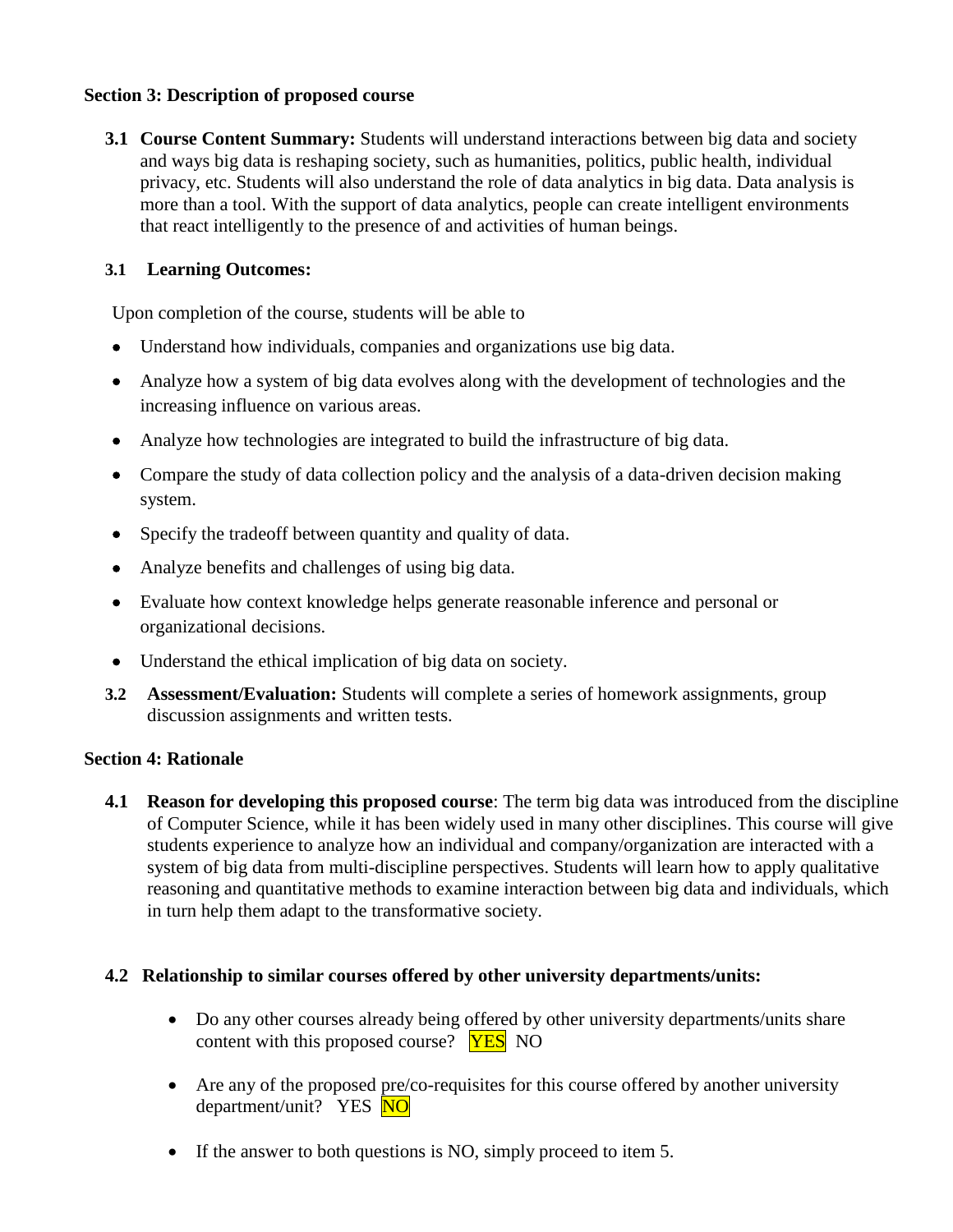## **Section 3: Description of proposed course**

**3.1 Course Content Summary:** Students will understand interactions between big data and society and ways big data is reshaping society, such as humanities, politics, public health, individual privacy, etc. Students will also understand the role of data analytics in big data. Data analysis is more than a tool. With the support of data analytics, people can create intelligent environments that react intelligently to the presence of and activities of human beings.

## **3.1 Learning Outcomes:**

Upon completion of the course, students will be able to

- Understand how individuals, companies and organizations use big data.
- Analyze how a system of big data evolves along with the development of technologies and the increasing influence on various areas.
- Analyze how technologies are integrated to build the infrastructure of big data.
- Compare the study of data collection policy and the analysis of a data-driven decision making system.
- Specify the tradeoff between quantity and quality of data.
- Analyze benefits and challenges of using big data.
- Evaluate how context knowledge helps generate reasonable inference and personal or organizational decisions.
- Understand the ethical implication of big data on society.
- **3.2 Assessment/Evaluation:** Students will complete a series of homework assignments, group discussion assignments and written tests.

#### **Section 4: Rationale**

**4.1 Reason for developing this proposed course**: The term big data was introduced from the discipline of Computer Science, while it has been widely used in many other disciplines. This course will give students experience to analyze how an individual and company/organization are interacted with a system of big data from multi-discipline perspectives. Students will learn how to apply qualitative reasoning and quantitative methods to examine interaction between big data and individuals, which in turn help them adapt to the transformative society.

#### **4.2 Relationship to similar courses offered by other university departments/units:**

- Do any other courses already being offered by other university departments/units share content with this proposed course? **YES** NO
- Are any of the proposed pre/co-requisites for this course offered by another university department/unit? YES NO
- If the answer to both questions is NO, simply proceed to item 5.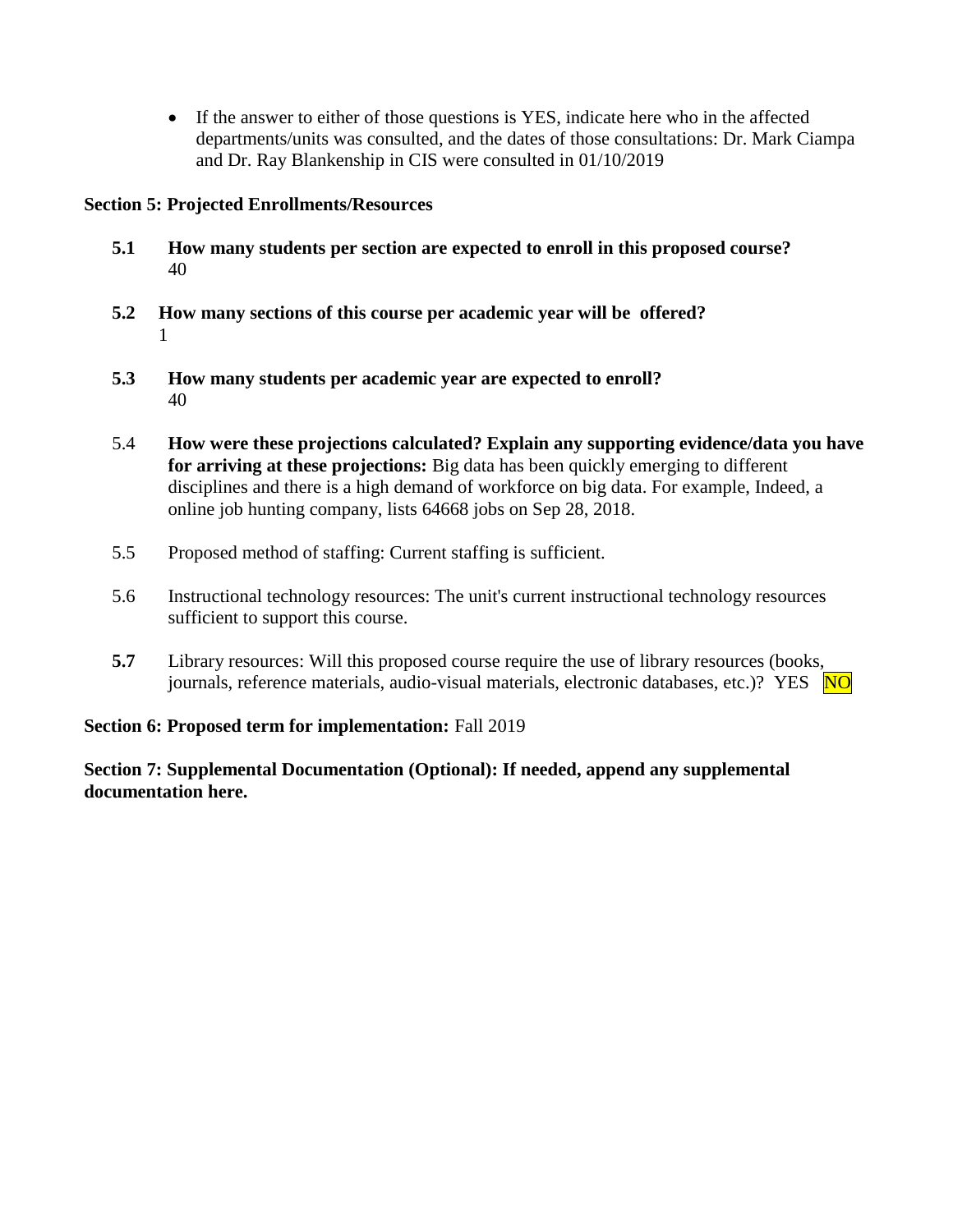If the answer to either of those questions is YES, indicate here who in the affected departments/units was consulted, and the dates of those consultations: Dr. Mark Ciampa and Dr. Ray Blankenship in CIS were consulted in 01/10/2019

## **Section 5: Projected Enrollments/Resources**

- **5.1 How many students per section are expected to enroll in this proposed course?** 40
- **5.2 How many sections of this course per academic year will be offered?** 1
- **5.3 How many students per academic year are expected to enroll?** 40
- 5.4 **How were these projections calculated? Explain any supporting evidence/data you have for arriving at these projections:** Big data has been quickly emerging to different disciplines and there is a high demand of workforce on big data. For example, Indeed, a online job hunting company, lists 64668 jobs on Sep 28, 2018.
- 5.5 Proposed method of staffing: Current staffing is sufficient.
- 5.6 Instructional technology resources: The unit's current instructional technology resources sufficient to support this course.
- **5.7** Library resources: Will this proposed course require the use of library resources (books, journals, reference materials, audio-visual materials, electronic databases, etc.)? YES  $\overline{NO}$

## **Section 6: Proposed term for implementation:** Fall 2019

**Section 7: Supplemental Documentation (Optional): If needed, append any supplemental documentation here.**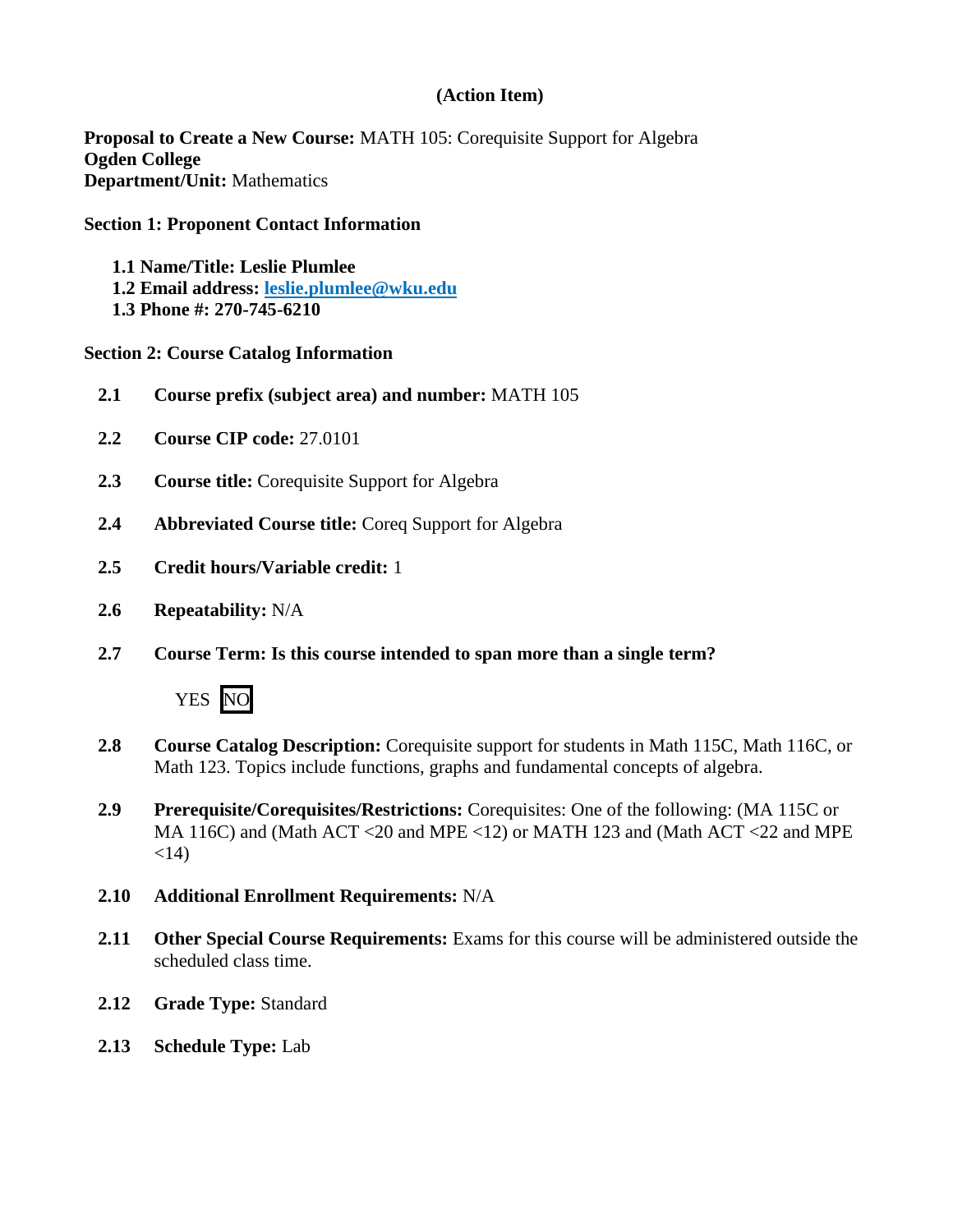## **(Action Item)**

**Proposal to Create a New Course:** MATH 105: Corequisite Support for Algebra **Ogden College Department/Unit:** Mathematics

#### **Section 1: Proponent Contact Information**

- **1.1 Name/Title: Leslie Plumlee**
- **1.2 Email address: [leslie.plumlee@wku.edu](mailto:leslie.plumlee@wku.edu)**
- **1.3 Phone #: 270-745-6210**

#### **Section 2: Course Catalog Information**

- **2.1 Course prefix (subject area) and number:** MATH 105
- **2.2 Course CIP code:** 27.0101
- **2.3 Course title:** Corequisite Support for Algebra
- **2.4 Abbreviated Course title:** Coreq Support for Algebra
- **2.5 Credit hours/Variable credit:** 1
- **2.6 Repeatability:** N/A
- **2.7 Course Term: Is this course intended to span more than a single term?**



- **2.8 Course Catalog Description:** Corequisite support for students in Math 115C, Math 116C, or Math 123. Topics include functions, graphs and fundamental concepts of algebra.
- **2.9 Prerequisite/Corequisites/Restrictions:** Corequisites: One of the following: (MA 115C or MA 116C) and (Math ACT <20 and MPE <12) or MATH 123 and (Math ACT <22 and MPE  $<14$ )
- **2.10 Additional Enrollment Requirements:** N/A
- **2.11 Other Special Course Requirements:** Exams for this course will be administered outside the scheduled class time.
- **2.12 Grade Type:** Standard
- **2.13 Schedule Type:** Lab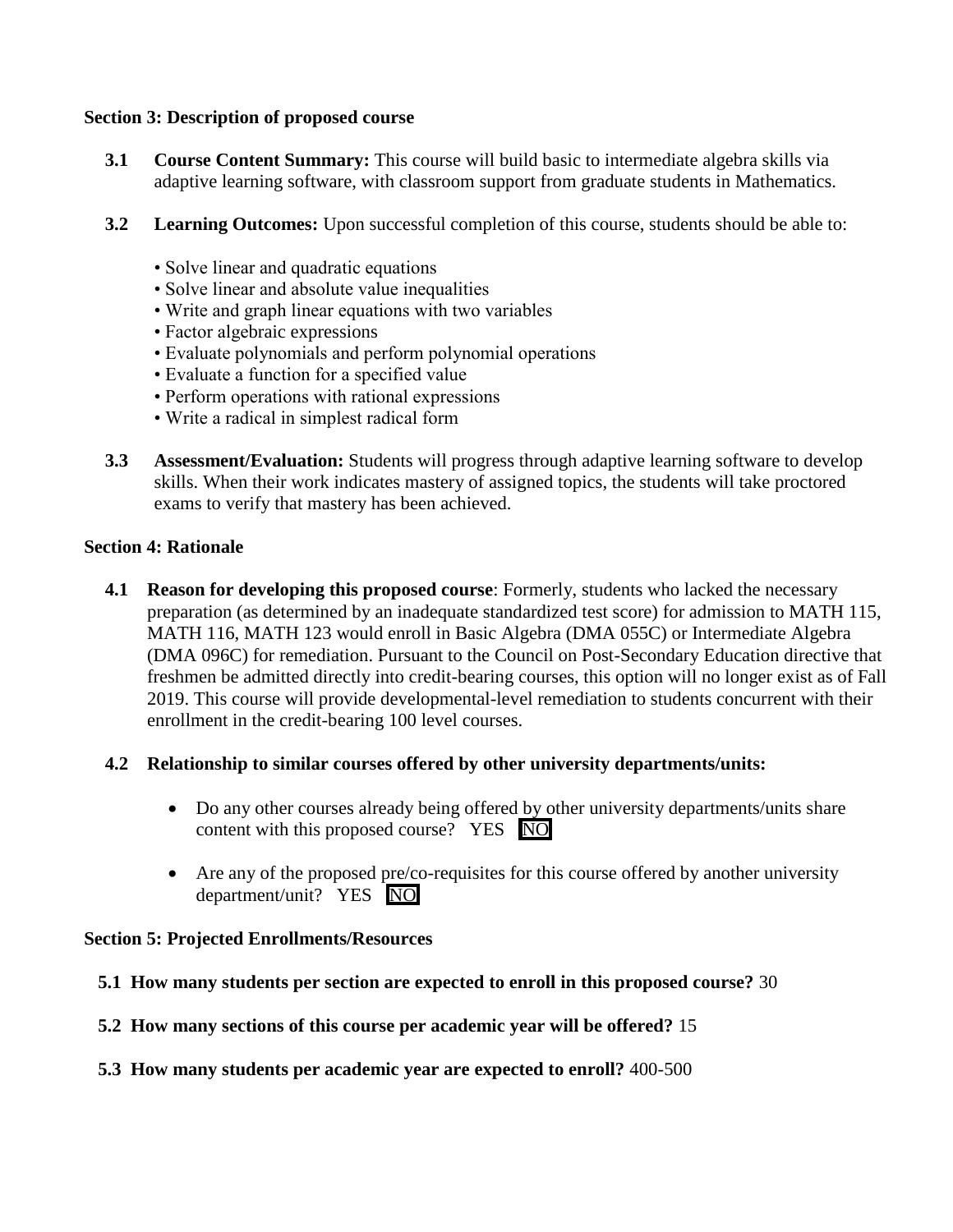#### **Section 3: Description of proposed course**

- **3.1 Course Content Summary:** This course will build basic to intermediate algebra skills via adaptive learning software, with classroom support from graduate students in Mathematics.
- **3.2 Learning Outcomes:** Upon successful completion of this course, students should be able to:
	- Solve linear and quadratic equations
	- Solve linear and absolute value inequalities
	- Write and graph linear equations with two variables
	- Factor algebraic expressions
	- Evaluate polynomials and perform polynomial operations
	- Evaluate a function for a specified value
	- Perform operations with rational expressions
	- Write a radical in simplest radical form
- **3.3 Assessment/Evaluation:** Students will progress through adaptive learning software to develop skills. When their work indicates mastery of assigned topics, the students will take proctored exams to verify that mastery has been achieved.

#### **Section 4: Rationale**

**4.1 Reason for developing this proposed course:** Formerly, students who lacked the necessary preparation (as determined by an inadequate standardized test score) for admission to MATH 115, MATH 116, MATH 123 would enroll in Basic Algebra (DMA 055C) or Intermediate Algebra (DMA 096C) for remediation. Pursuant to the Council on Post-Secondary Education directive that freshmen be admitted directly into credit-bearing courses, this option will no longer exist as of Fall 2019. This course will provide developmental-level remediation to students concurrent with their enrollment in the credit-bearing 100 level courses.

## **4.2 Relationship to similar courses offered by other university departments/units:**

- Do any other courses already being offered by other university departments/units share content with this proposed course? YES NO
- Are any of the proposed pre/co-requisites for this course offered by another university department/unit? YES NO

#### **Section 5: Projected Enrollments/Resources**

- **5.1 How many students per section are expected to enroll in this proposed course?** 30
- **5.2 How many sections of this course per academic year will be offered?** 15
- **5.3 How many students per academic year are expected to enroll?** 400-500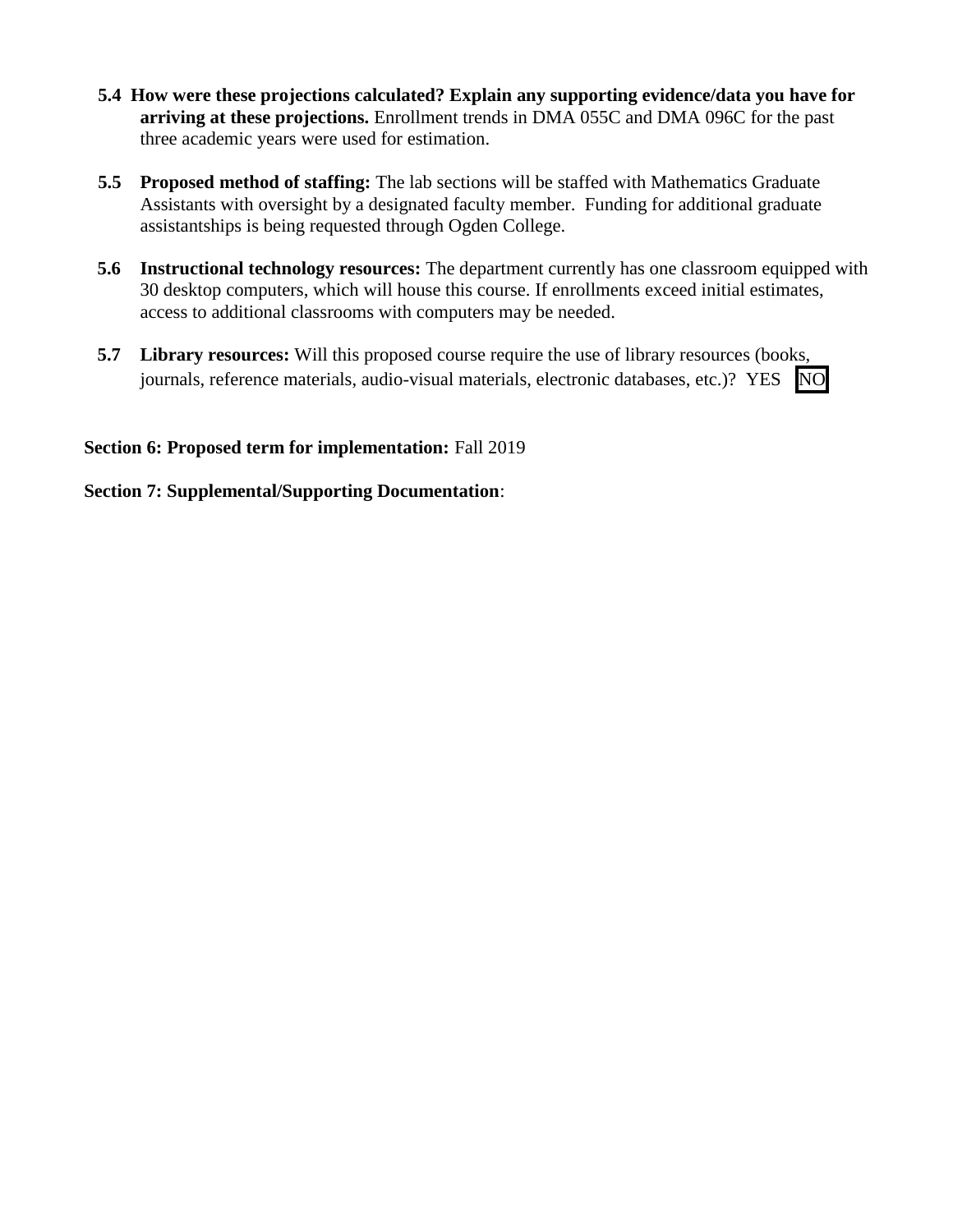- **5.4 How were these projections calculated? Explain any supporting evidence/data you have for arriving at these projections.** Enrollment trends in DMA 055C and DMA 096C for the past three academic years were used for estimation.
- **5.5 Proposed method of staffing:** The lab sections will be staffed with Mathematics Graduate Assistants with oversight by a designated faculty member. Funding for additional graduate assistantships is being requested through Ogden College.
- **5.6 Instructional technology resources:** The department currently has one classroom equipped with 30 desktop computers, which will house this course. If enrollments exceed initial estimates, access to additional classrooms with computers may be needed.
- **5.7 Library resources:** Will this proposed course require the use of library resources (books, journals, reference materials, audio-visual materials, electronic databases, etc.)? YES NO

## **Section 6: Proposed term for implementation:** Fall 2019

## **Section 7: Supplemental/Supporting Documentation**: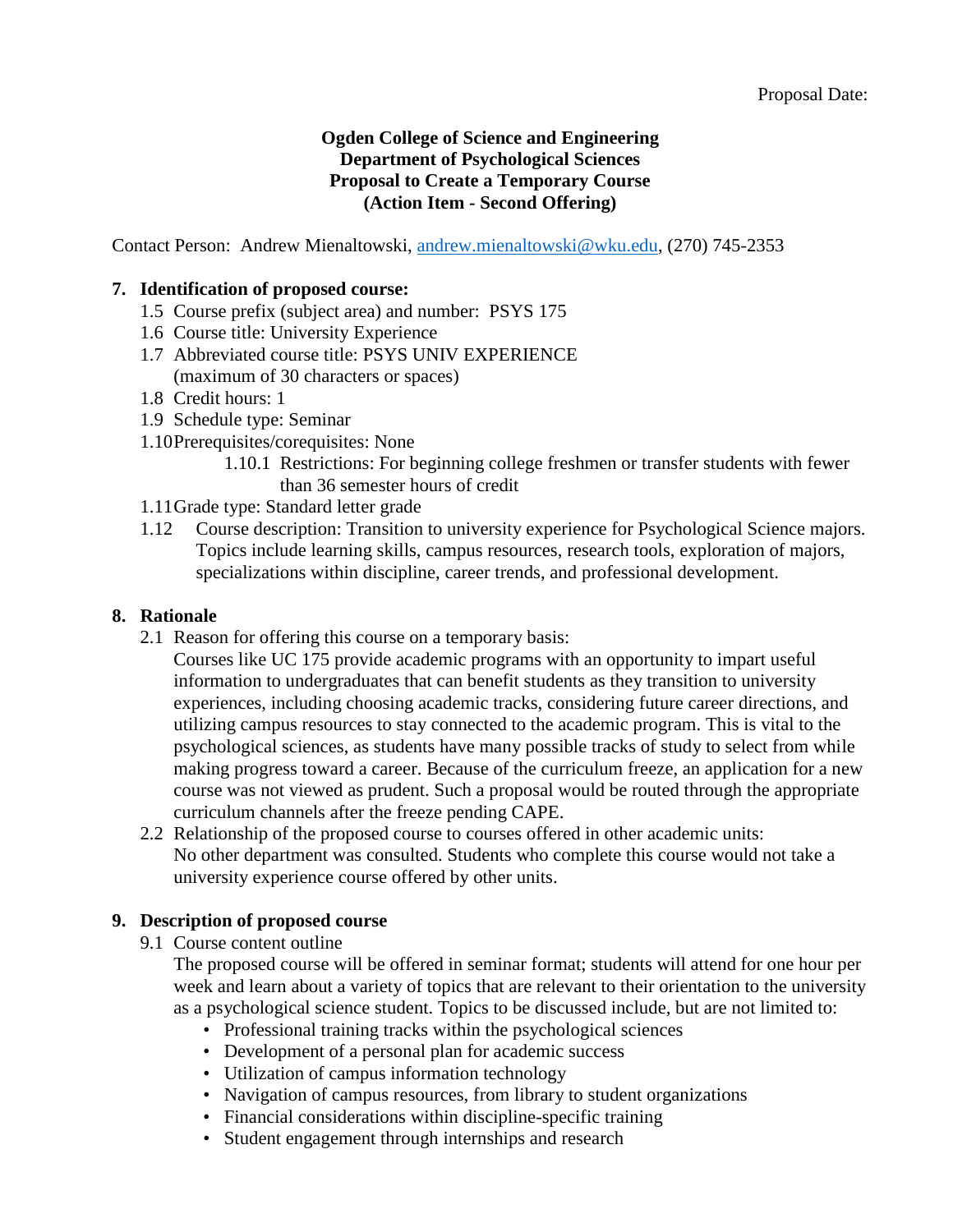## **Ogden College of Science and Engineering Department of Psychological Sciences Proposal to Create a Temporary Course (Action Item - Second Offering)**

Contact Person: Andrew Mienaltowski, [andrew.mienaltowski@wku.edu,](mailto:andrew.mienaltowski@wku.edu) (270) 745-2353

## **7. Identification of proposed course:**

- 1.5 Course prefix (subject area) and number: PSYS 175
- 1.6 Course title: University Experience
- 1.7 Abbreviated course title: PSYS UNIV EXPERIENCE (maximum of 30 characters or spaces)
- 1.8 Credit hours: 1
- 1.9 Schedule type: Seminar
- 1.10Prerequisites/corequisites: None
	- 1.10.1 Restrictions: For beginning college freshmen or transfer students with fewer than 36 semester hours of credit
- 1.11Grade type: Standard letter grade
- 1.12 Course description: Transition to university experience for Psychological Science majors. Topics include learning skills, campus resources, research tools, exploration of majors, specializations within discipline, career trends, and professional development.

#### **8. Rationale**

- 2.1 Reason for offering this course on a temporary basis:
	- Courses like UC 175 provide academic programs with an opportunity to impart useful information to undergraduates that can benefit students as they transition to university experiences, including choosing academic tracks, considering future career directions, and utilizing campus resources to stay connected to the academic program. This is vital to the psychological sciences, as students have many possible tracks of study to select from while making progress toward a career. Because of the curriculum freeze, an application for a new course was not viewed as prudent. Such a proposal would be routed through the appropriate curriculum channels after the freeze pending CAPE.
- 2.2 Relationship of the proposed course to courses offered in other academic units: No other department was consulted. Students who complete this course would not take a university experience course offered by other units.

## **9. Description of proposed course**

9.1 Course content outline

The proposed course will be offered in seminar format; students will attend for one hour per week and learn about a variety of topics that are relevant to their orientation to the university as a psychological science student. Topics to be discussed include, but are not limited to:

- Professional training tracks within the psychological sciences
- Development of a personal plan for academic success
- Utilization of campus information technology
- Navigation of campus resources, from library to student organizations
- Financial considerations within discipline-specific training
- Student engagement through internships and research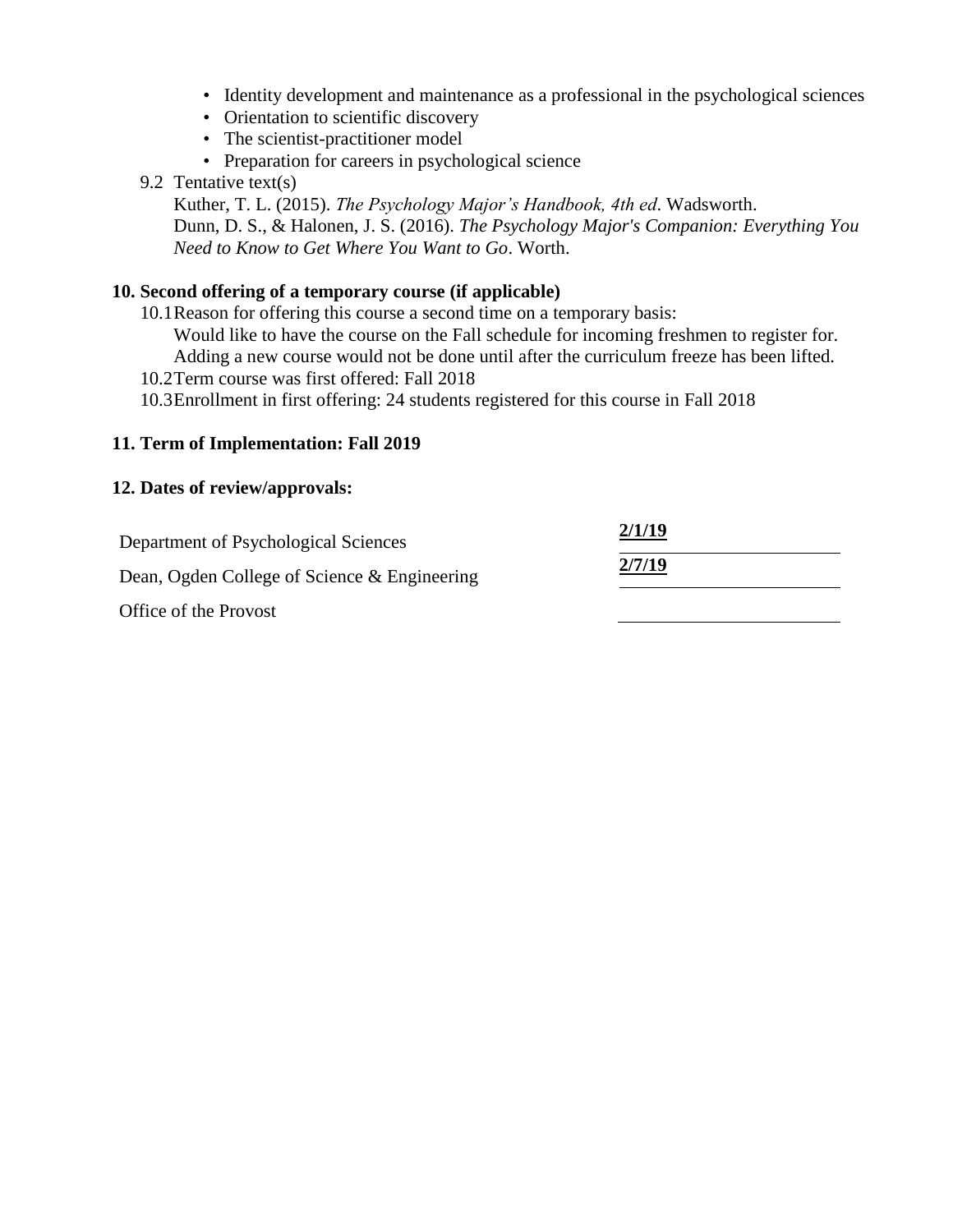- Identity development and maintenance as a professional in the psychological sciences
- Orientation to scientific discovery
- The scientist-practitioner model
- Preparation for careers in psychological science
- 9.2 Tentative text(s)

Kuther, T. L. (2015). *The Psychology Major's Handbook, 4th ed*. Wadsworth. Dunn, D. S., & Halonen, J. S. (2016). *The Psychology Major's Companion: Everything You Need to Know to Get Where You Want to Go*. Worth.

#### **10. Second offering of a temporary course (if applicable)**

10.1Reason for offering this course a second time on a temporary basis:

Would like to have the course on the Fall schedule for incoming freshmen to register for. Adding a new course would not be done until after the curriculum freeze has been lifted.

- 10.2Term course was first offered: Fall 2018
- 10.3Enrollment in first offering: 24 students registered for this course in Fall 2018

#### **11. Term of Implementation: Fall 2019**

#### **12. Dates of review/approvals:**

| Department of Psychological Sciences         | 2/1/19 |  |
|----------------------------------------------|--------|--|
| Dean, Ogden College of Science & Engineering | 2/7/19 |  |
| Office of the Provost                        |        |  |